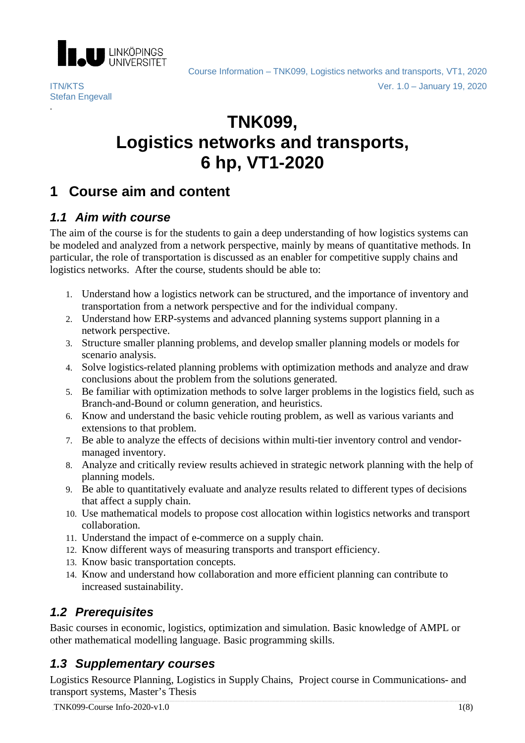

Stefan Engevall

.

Course Information – TNK099, Logistics networks and transports, VT1, 2020 ITN/KTS Ver. 1.0 – January 19, 2020

# **TNK099, Logistics networks and transports, 6 hp, VT1-2020**

# **1 Course aim and content**

# *1.1 Aim with course*

The aim of the course is for the students to gain a deep understanding of how logistics systems can be modeled and analyzed from a network perspective, mainly by means of quantitative methods. In particular, the role of transportation is discussed as an enabler for competitive supply chains and logistics networks. After the course, students should be able to:

- 1. Understand how a logistics network can be structured, and the importance of inventory and transportation from a network perspective and for the individual company.
- 2. Understand how ERP-systems and advanced planning systems support planning in a network perspective.
- 3. Structure smaller planning problems, and develop smaller planning models or models for scenario analysis.
- 4. Solve logistics-related planning problems with optimization methods and analyze and draw conclusions about the problem from the solutions generated.
- 5. Be familiar with optimization methods to solve larger problems in the logistics field, such as Branch-and-Bound or column generation, and heuristics.
- 6. Know and understand the basic vehicle routing problem, as well as various variants and extensions to that problem.
- 7. Be able to analyze the effects of decisions within multi-tier inventory control and vendormanaged inventory.
- 8. Analyze and critically review results achieved in strategic network planning with the help of planning models.
- 9. Be able to quantitatively evaluate and analyze results related to different types of decisions that affect a supply chain.
- 10. Use mathematical models to propose cost allocation within logistics networks and transport collaboration.
- 11. Understand the impact of e-commerce on a supply chain.
- 12. Know different ways of measuring transports and transport efficiency.
- 13. Know basic transportation concepts.
- 14. Know and understand how collaboration and more efficient planning can contribute to increased sustainability.

# *1.2 Prerequisites*

Basic courses in economic, logistics, optimization and simulation. Basic knowledge of AMPL or other mathematical modelling language. Basic programming skills.

# *1.3 Supplementary courses*

Logistics Resource Planning, Logistics in Supply Chains, Project course in Communications- and transport systems, Master's Thesis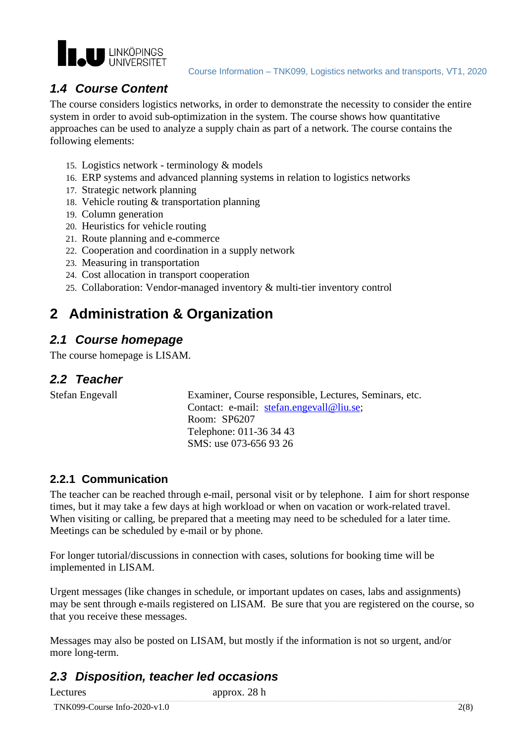

# *1.4 Course Content*

The course considers logistics networks, in order to demonstrate the necessity to consider the entire system in order to avoid sub-optimization in the system. The course shows how quantitative approaches can be used to analyze a supply chain as part of a network. The course contains the following elements:

- 15. Logistics network terminology & models
- 16. ERP systems and advanced planning systems in relation to logistics networks
- 17. Strategic network planning
- 18. Vehicle routing & transportation planning
- 19. Column generation
- 20. Heuristics for vehicle routing
- 21. Route planning and e-commerce
- 22. Cooperation and coordination in a supply network
- 23. Measuring in transportation
- 24. Cost allocation in transport cooperation
- 25. Collaboration: Vendor-managed inventory & multi-tier inventory control

# **2 Administration & Organization**

#### *2.1 Course homepage*

The course homepage is LISAM.

#### *2.2 Teacher*

Stefan Engevall Examiner, Course responsible, Lectures, Seminars, etc. Contact: e-mail: stefan.engevall@liu.se; Room: SP6207 Telephone: 011-36 34 43 SMS: use 073-656 93 26

#### **2.2.1 Communication**

The teacher can be reached through e-mail, personal visit or by telephone. I aim for short response times, but it may take a few days at high workload or when on vacation or work-related travel. When visiting or calling, be prepared that a meeting may need to be scheduled for a later time. Meetings can be scheduled by e-mail or by phone.

For longer tutorial/discussions in connection with cases, solutions for booking time will be implemented in LISAM.

Urgent messages (like changes in schedule, or important updates on cases, labs and assignments) may be sent through e-mails registered on LISAM. Be sure that you are registered on the course, so that you receive these messages.

Messages may also be posted on LISAM, but mostly if the information is not so urgent, and/or more long-term.

# *2.3 Disposition, teacher led occasions*

Lectures approx. 28 h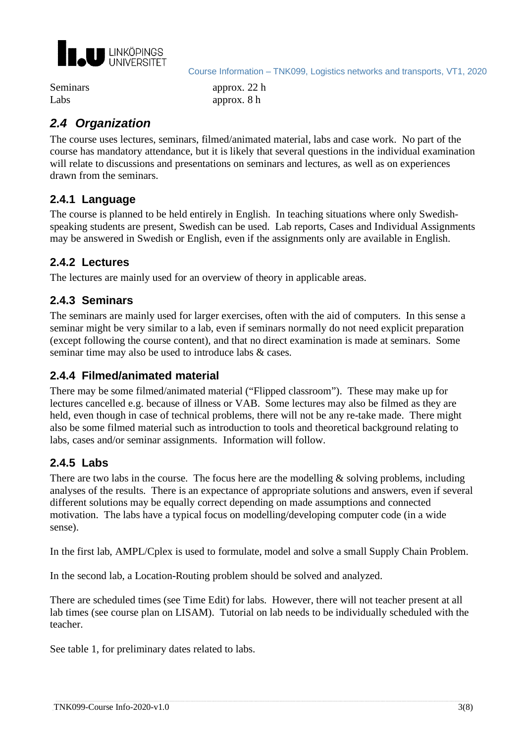

Course Information – TNK099, Logistics networks and transports, VT1, 2020

Seminars approx. 22 h Labs approx. 8 h

# *2.4 Organization*

The course uses lectures, seminars, filmed/animated material, labs and case work. No part of the course has mandatory attendance, but it is likely that several questions in the individual examination will relate to discussions and presentations on seminars and lectures, as well as on experiences drawn from the seminars.

#### **2.4.1 Language**

The course is planned to be held entirely in English. In teaching situations where only Swedishspeaking students are present, Swedish can be used. Lab reports, Cases and Individual Assignments may be answered in Swedish or English, even if the assignments only are available in English.

#### **2.4.2 Lectures**

The lectures are mainly used for an overview of theory in applicable areas.

#### **2.4.3 Seminars**

The seminars are mainly used for larger exercises, often with the aid of computers. In this sense a seminar might be very similar to a lab, even if seminars normally do not need explicit preparation (except following the course content), and that no direct examination is made at seminars. Some seminar time may also be used to introduce labs & cases.

#### **2.4.4 Filmed/animated material**

There may be some filmed/animated material ("Flipped classroom"). These may make up for lectures cancelled e.g. because of illness or VAB. Some lectures may also be filmed as they are held, even though in case of technical problems, there will not be any re-take made. There might also be some filmed material such as introduction to tools and theoretical background relating to labs, cases and/or seminar assignments. Information will follow.

#### **2.4.5 Labs**

There are two labs in the course. The focus here are the modelling  $\&$  solving problems, including analyses of the results. There is an expectance of appropriate solutions and answers, even if several different solutions may be equally correct depending on made assumptions and connected motivation. The labs have a typical focus on modelling/developing computer code (in a wide sense).

In the first lab, AMPL/Cplex is used to formulate, model and solve a small Supply Chain Problem.

In the second lab, a Location-Routing problem should be solved and analyzed.

There are scheduled times (see Time Edit) for labs. However, there will not teacher present at all lab times (see course plan on LISAM). Tutorial on lab needs to be individually scheduled with the teacher.

See table 1, for preliminary dates related to labs.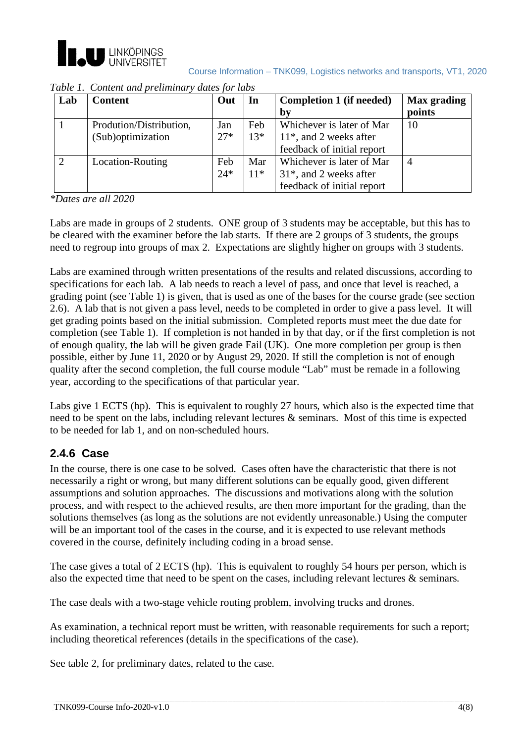

| Lab | <b>Content</b>          | Out   | In    | Completion 1 (if needed)   | <b>Max</b> grading |
|-----|-------------------------|-------|-------|----------------------------|--------------------|
|     |                         |       |       | by                         | points             |
|     | Prodution/Distribution, | Jan   | Feb   | Whichever is later of Mar  | 10                 |
|     | (Sub)optimization       | $27*$ | $13*$ | $11*$ , and 2 weeks after  |                    |
|     |                         |       |       | feedback of initial report |                    |
|     | Location-Routing        | Feb   | Mar   | Whichever is later of Mar  | $\overline{4}$     |
|     |                         | $24*$ | $11*$ | $31*$ , and 2 weeks after  |                    |
|     |                         |       |       | feedback of initial report |                    |

*Table 1. Content and preliminary dates for labs*

*\*Dates are all 2020*

Labs are made in groups of 2 students. ONE group of 3 students may be acceptable, but this has to be cleared with the examiner before the lab starts. If there are 2 groups of 3 students, the groups need to regroup into groups of max 2. Expectations are slightly higher on groups with 3 students.

Labs are examined through written presentations of the results and related discussions, according to specifications for each lab. A lab needs to reach a level of pass, and once that level is reached, a grading point (see Table 1) is given, that is used as one of the bases for the course grade (see section 2.6). A lab that is not given a pass level, needs to be completed in order to give a pass level. It will get grading points based on the initial submission. Completed reports must meet the due date for completion (see Table 1). If completion is not handed in by that day, or if the first completion is not of enough quality, the lab will be given grade Fail (UK). One more completion per group is then possible, either by June 11, 2020 or by August 29, 2020. If still the completion is not of enough quality after the second completion, the full course module "Lab" must be remade in a following year, according to the specifications of that particular year.

Labs give 1 ECTS (hp). This is equivalent to roughly 27 hours, which also is the expected time that need to be spent on the labs, including relevant lectures & seminars. Most of this time is expected to be needed for lab 1, and on non-scheduled hours.

# **2.4.6 Case**

In the course, there is one case to be solved. Cases often have the characteristic that there is not necessarily a right or wrong, but many different solutions can be equally good, given different assumptions and solution approaches. The discussions and motivations along with the solution process, and with respect to the achieved results, are then more important for the grading, than the solutions themselves (as long as the solutions are not evidently unreasonable.) Using the computer will be an important tool of the cases in the course, and it is expected to use relevant methods covered in the course, definitely including coding in a broad sense.

The case gives a total of 2 ECTS (hp). This is equivalent to roughly 54 hours per person, which is also the expected time that need to be spent on the cases, including relevant lectures & seminars.

The case deals with a two-stage vehicle routing problem, involving trucks and drones.

As examination, a technical report must be written, with reasonable requirements for such a report; including theoretical references (details in the specifications of the case).

See table 2, for preliminary dates, related to the case.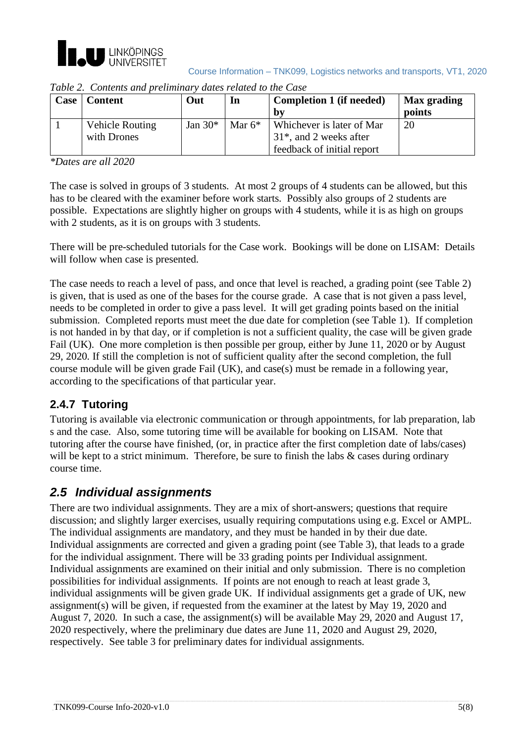

|  | Course Information - TNK099, Logistics networks and transports, VT1, 2020 |  |  |
|--|---------------------------------------------------------------------------|--|--|
|  |                                                                           |  |  |

| Case <sup>1</sup> | Content                        | Out       | In        | <b>Completion 1 (if needed)</b>                                                      | Max grading |
|-------------------|--------------------------------|-----------|-----------|--------------------------------------------------------------------------------------|-------------|
|                   |                                |           |           | bv                                                                                   | points      |
|                   | Vehicle Routing<br>with Drones | Jan $30*$ | Mar $6^*$ | Whichever is later of Mar<br>$31*$ , and 2 weeks after<br>feedback of initial report | 20          |

*Table 2. Contents and preliminary dates related to the Case*

*\*Dates are all 2020*

The case is solved in groups of 3 students. At most 2 groups of 4 students can be allowed, but this has to be cleared with the examiner before work starts. Possibly also groups of 2 students are possible. Expectations are slightly higher on groups with 4 students, while it is as high on groups with 2 students, as it is on groups with 3 students.

There will be pre-scheduled tutorials for the Case work. Bookings will be done on LISAM: Details will follow when case is presented.

The case needs to reach a level of pass, and once that level is reached, a grading point (see Table 2) is given, that is used as one of the bases for the course grade. A case that is not given a pass level, needs to be completed in order to give a pass level. It will get grading points based on the initial submission. Completed reports must meet the due date for completion (see Table 1). If completion is not handed in by that day, or if completion is not a sufficient quality, the case will be given grade Fail (UK). One more completion is then possible per group, either by June 11, 2020 or by August 29, 2020. If still the completion is not of sufficient quality after the second completion, the full course module will be given grade Fail (UK), and case(s) must be remade in a following year, according to the specifications of that particular year.

# **2.4.7 Tutoring**

Tutoring is available via electronic communication or through appointments, for lab preparation, lab s and the case. Also, some tutoring time will be available for booking on LISAM. Note that tutoring after the course have finished, (or, in practice after the first completion date of labs/cases) will be kept to a strict minimum. Therefore, be sure to finish the labs  $\&$  cases during ordinary course time.

# *2.5 Individual assignments*

There are two individual assignments. They are a mix of short-answers; questions that require discussion; and slightly larger exercises, usually requiring computations using e.g. Excel or AMPL. The individual assignments are mandatory, and they must be handed in by their due date. Individual assignments are corrected and given a grading point (see Table 3), that leads to a grade for the individual assignment. There will be 33 grading points per Individual assignment. Individual assignments are examined on their initial and only submission. There is no completion possibilities for individual assignments. If points are not enough to reach at least grade 3, individual assignments will be given grade UK. If individual assignments get a grade of UK, new assignment(s) will be given, if requested from the examiner at the latest by May 19, 2020 and August 7, 2020. In such a case, the assignment(s) will be available May 29, 2020 and August 17, 2020 respectively, where the preliminary due dates are June 11, 2020 and August 29, 2020, respectively. See table 3 for preliminary dates for individual assignments.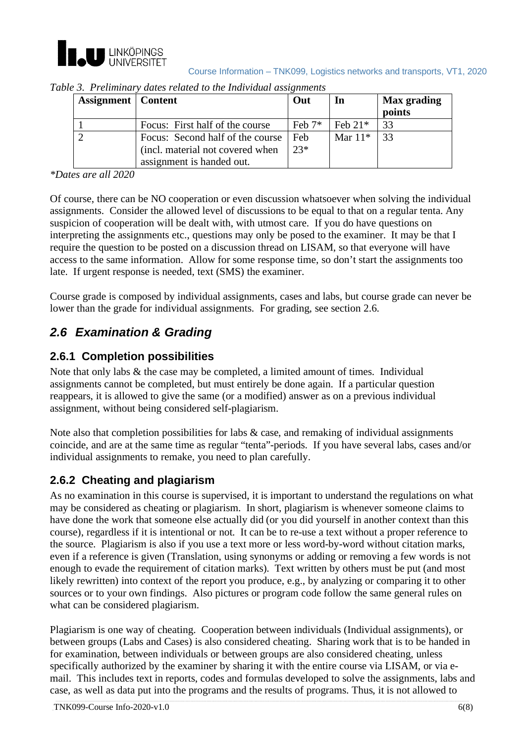

| Course Information - TNK099, Logistics networks and transports, VT1, 2020 |  |  |  |
|---------------------------------------------------------------------------|--|--|--|
|                                                                           |  |  |  |

| <b>Assignment</b>   Content |                                  | Out        | In        | Max grading<br>points |
|-----------------------------|----------------------------------|------------|-----------|-----------------------|
|                             | Focus: First half of the course  | Feb $7^*$  | Feb $21*$ | 33                    |
|                             | Focus: Second half of the course | <b>Feb</b> | Mar $11*$ | -33                   |
|                             | (incl. material not covered when | $23*$      |           |                       |
|                             | assignment is handed out.        |            |           |                       |

| Table 3. Preliminary dates related to the Individual assignments |  |  |  |
|------------------------------------------------------------------|--|--|--|

*\*Dates are all 2020*

Of course, there can be NO cooperation or even discussion whatsoever when solving the individual assignments. Consider the allowed level of discussions to be equal to that on a regular tenta. Any suspicion of cooperation will be dealt with, with utmost care. If you do have questions on interpreting the assignments etc., questions may only be posed to the examiner. It may be that I require the question to be posted on a discussion thread on LISAM, so that everyone will have access to the same information. Allow for some response time, so don't start the assignments too late. If urgent response is needed, text (SMS) the examiner.

Course grade is composed by individual assignments, cases and labs, but course grade can never be lower than the grade for individual assignments. For grading, see section 2.6.

# *2.6 Examination & Grading*

#### **2.6.1 Completion possibilities**

Note that only labs & the case may be completed, a limited amount of times. Individual assignments cannot be completed, but must entirely be done again. If a particular question reappears, it is allowed to give the same (or a modified) answer as on a previous individual assignment, without being considered self-plagiarism.

Note also that completion possibilities for labs  $\&$  case, and remaking of individual assignments coincide, and are at the same time as regular "tenta"-periods. If you have several labs, cases and/or individual assignments to remake, you need to plan carefully.

#### **2.6.2 Cheating and plagiarism**

As no examination in this course is supervised, it is important to understand the regulations on what may be considered as cheating or plagiarism. In short, plagiarism is whenever someone claims to have done the work that someone else actually did (or you did yourself in another context than this course), regardless if it is intentional or not. It can be to re-use a text without a proper reference to the source. Plagiarism is also if you use a text more or less word-by-word without citation marks, even if a reference is given (Translation, using synonyms or adding or removing a few words is not enough to evade the requirement of citation marks). Text written by others must be put (and most likely rewritten) into context of the report you produce, e.g., by analyzing or comparing it to other sources or to your own findings. Also pictures or program code follow the same general rules on what can be considered plagiarism.

Plagiarism is one way of cheating. Cooperation between individuals (Individual assignments), or between groups (Labs and Cases) is also considered cheating. Sharing work that is to be handed in for examination, between individuals or between groups are also considered cheating, unless specifically authorized by the examiner by sharing it with the entire course via LISAM, or via email. This includes text in reports, codes and formulas developed to solve the assignments, labs and case, as well as data put into the programs and the results of programs. Thus, it is not allowed to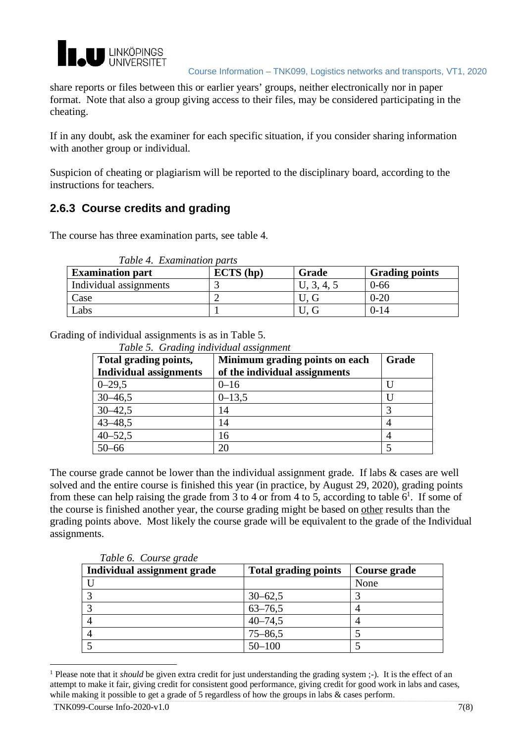

Course Information – TNK099, Logistics networks and transports, VT1, 2020

share reports or files between this or earlier years' groups, neither electronically nor in paper format. Note that also a group giving access to their files, may be considered participating in the cheating.

If in any doubt, ask the examiner for each specific situation, if you consider sharing information with another group or individual.

Suspicion of cheating or plagiarism will be reported to the disciplinary board, according to the instructions for teachers.

#### **2.6.3 Course credits and grading**

The course has three examination parts, see table 4.

| <b>Examination part</b> | ECTS(hp) | Grade | <b>Grading points</b> |
|-------------------------|----------|-------|-----------------------|
| Individual assignments  |          |       | $0 - 66$              |
| Case                    |          |       | $0 - 20$              |
| Labs                    |          |       | $0-14$                |

Grading of individual assignments is as in Table 5.

*Table 5. Grading individual assignment*

| Total grading points,         | Minimum grading points on each | Grade |
|-------------------------------|--------------------------------|-------|
| <b>Individual assignments</b> | of the individual assignments  |       |
| $0 - 29.5$                    | $0 - 16$                       |       |
| $30 - 46,5$                   | $0 - 13,5$                     |       |
| $30 - 42,5$                   | 14                             |       |
| $43 - 48,5$                   | 14                             |       |
| $40 - 52,5$                   | 16                             |       |
| $50 - 66$                     | 20                             |       |

The course grade cannot be lower than the individual assignment grade. If labs & cases are well solved and the entire course is finished this year (in practice, by August 29, 2020), grading points from these can help raising the grade from 3 to 4 or from 4 to 5, according to table  $6^1$ . If some of the course is finished another year, the course grading might be based on other results than the grading points above. Most likely the course grade will be equivalent to the grade of the Individual assignments.

| Individual assignment grade | <b>Total grading points</b> | Course grade |
|-----------------------------|-----------------------------|--------------|
|                             |                             | None         |
|                             | $30 - 62,5$                 |              |
|                             | $63 - 76,5$                 |              |
|                             | $40 - 74,5$                 |              |
|                             | $75 - 86,5$                 |              |
|                             | $50 - 100$                  |              |

*Table 6. Course grade*

<sup>1</sup> Please note that it *should* be given extra credit for just understanding the grading system ;-). It is the effect of an attempt to make it fair, giving credit for consistent good performance, giving credit for good work in labs and cases, while making it possible to get a grade of 5 regardless of how the groups in labs & cases perform.